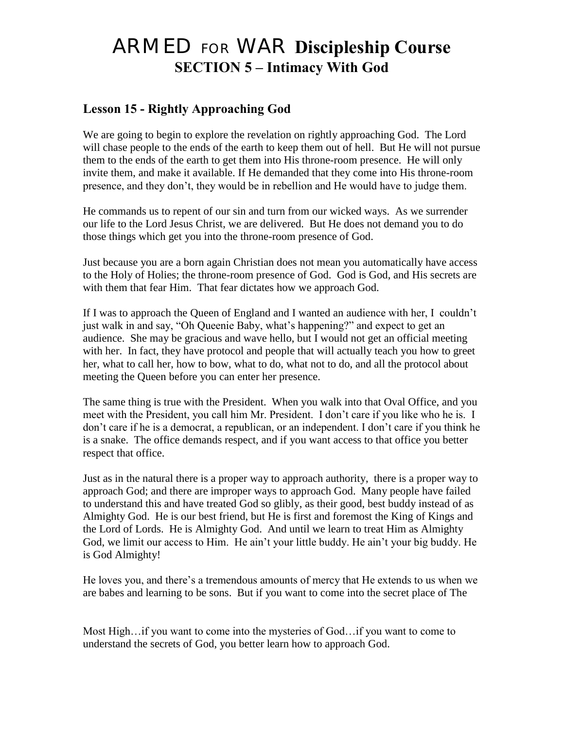# ARMED FOR WAR **Discipleship Course SECTION 5 – Intimacy With God**

# **Lesson 15 - Rightly Approaching God**

We are going to begin to explore the revelation on rightly approaching God. The Lord will chase people to the ends of the earth to keep them out of hell. But He will not pursue them to the ends of the earth to get them into His throne-room presence. He will only invite them, and make it available. If He demanded that they come into His throne-room presence, and they don't, they would be in rebellion and He would have to judge them.

He commands us to repent of our sin and turn from our wicked ways. As we surrender our life to the Lord Jesus Christ, we are delivered. But He does not demand you to do those things which get you into the throne-room presence of God.

Just because you are a born again Christian does not mean you automatically have access to the Holy of Holies; the throne-room presence of God. God is God, and His secrets are with them that fear Him. That fear dictates how we approach God.

If I was to approach the Queen of England and I wanted an audience with her, I couldn't just walk in and say, "Oh Queenie Baby, what's happening?" and expect to get an audience. She may be gracious and wave hello, but I would not get an official meeting with her. In fact, they have protocol and people that will actually teach you how to greet her, what to call her, how to bow, what to do, what not to do, and all the protocol about meeting the Queen before you can enter her presence.

The same thing is true with the President. When you walk into that Oval Office, and you meet with the President, you call him Mr. President. I don't care if you like who he is. I don't care if he is a democrat, a republican, or an independent. I don't care if you think he is a snake. The office demands respect, and if you want access to that office you better respect that office.

Just as in the natural there is a proper way to approach authority, there is a proper way to approach God; and there are improper ways to approach God. Many people have failed to understand this and have treated God so glibly, as their good, best buddy instead of as Almighty God. He is our best friend, but He is first and foremost the King of Kings and the Lord of Lords. He is Almighty God. And until we learn to treat Him as Almighty God, we limit our access to Him. He ain't your little buddy. He ain't your big buddy. He is God Almighty!

He loves you, and there's a tremendous amounts of mercy that He extends to us when we are babes and learning to be sons. But if you want to come into the secret place of The

Most High…if you want to come into the mysteries of God…if you want to come to understand the secrets of God, you better learn how to approach God.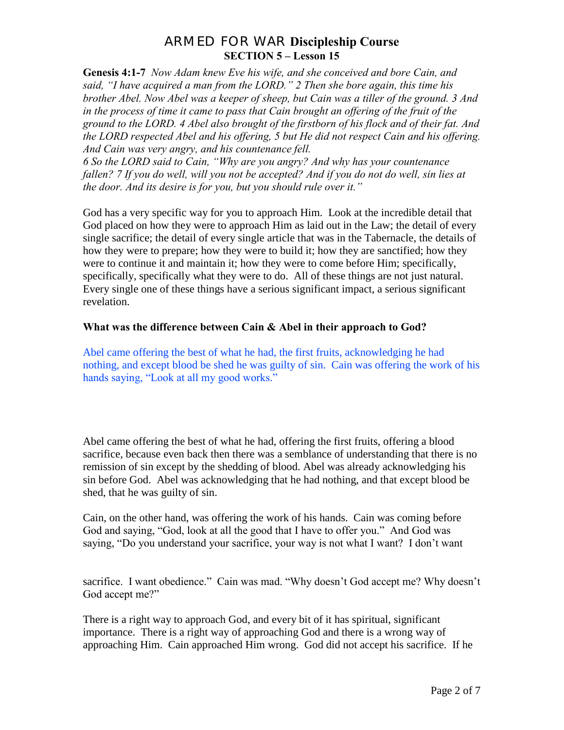**Genesis 4:1-7** *Now Adam knew Eve his wife, and she conceived and bore Cain, and said, "I have acquired a man from the LORD." 2 Then she bore again, this time his brother Abel. Now Abel was a keeper of sheep, but Cain was a tiller of the ground. 3 And*  in the process of time it came to pass that Cain brought an offering of the fruit of the *ground to the LORD. 4 Abel also brought of the firstborn of his flock and of their fat. And the LORD respected Abel and his offering, 5 but He did not respect Cain and his offering. And Cain was very angry, and his countenance fell.*

*6 So the LORD said to Cain, "Why are you angry? And why has your countenance fallen? 7 If you do well, will you not be accepted? And if you do not do well, sin lies at the door. And its desire is for you, but you should rule over it."* 

God has a very specific way for you to approach Him. Look at the incredible detail that God placed on how they were to approach Him as laid out in the Law; the detail of every single sacrifice; the detail of every single article that was in the Tabernacle, the details of how they were to prepare; how they were to build it; how they are sanctified; how they were to continue it and maintain it; how they were to come before Him; specifically, specifically, specifically what they were to do. All of these things are not just natural. Every single one of these things have a serious significant impact, a serious significant revelation.

#### **What was the difference between Cain & Abel in their approach to God?**

Abel came offering the best of what he had, the first fruits, acknowledging he had nothing, and except blood be shed he was guilty of sin. Cain was offering the work of his hands saying, "Look at all my good works."

Abel came offering the best of what he had, offering the first fruits, offering a blood sacrifice, because even back then there was a semblance of understanding that there is no remission of sin except by the shedding of blood. Abel was already acknowledging his sin before God. Abel was acknowledging that he had nothing, and that except blood be shed, that he was guilty of sin.

Cain, on the other hand, was offering the work of his hands. Cain was coming before God and saying, "God, look at all the good that I have to offer you." And God was saying, "Do you understand your sacrifice, your way is not what I want? I don't want

sacrifice. I want obedience." Cain was mad. "Why doesn't God accept me? Why doesn't God accept me?"

There is a right way to approach God, and every bit of it has spiritual, significant importance. There is a right way of approaching God and there is a wrong way of approaching Him. Cain approached Him wrong. God did not accept his sacrifice. If he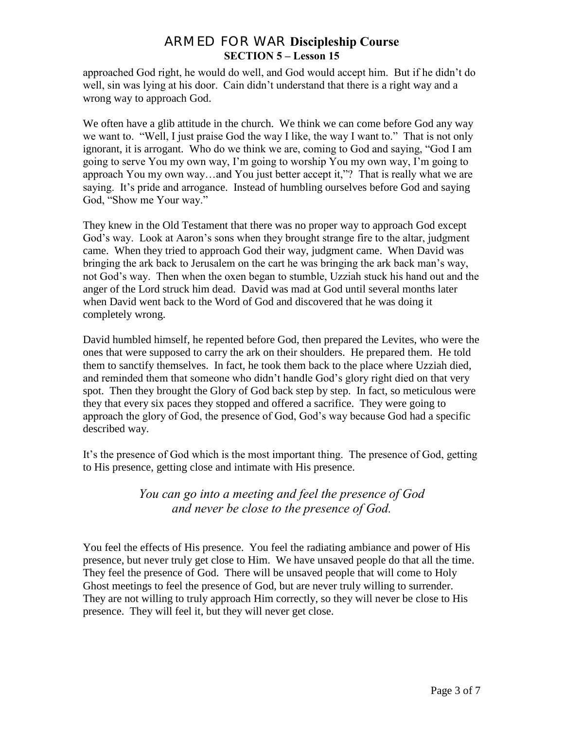approached God right, he would do well, and God would accept him. But if he didn't do well, sin was lying at his door. Cain didn't understand that there is a right way and a wrong way to approach God.

We often have a glib attitude in the church. We think we can come before God any way we want to. "Well, I just praise God the way I like, the way I want to." That is not only ignorant, it is arrogant. Who do we think we are, coming to God and saying, "God I am going to serve You my own way, I'm going to worship You my own way, I'm going to approach You my own way…and You just better accept it,"? That is really what we are saying. It's pride and arrogance. Instead of humbling ourselves before God and saying God, "Show me Your way."

They knew in the Old Testament that there was no proper way to approach God except God's way. Look at Aaron's sons when they brought strange fire to the altar, judgment came. When they tried to approach God their way, judgment came. When David was bringing the ark back to Jerusalem on the cart he was bringing the ark back man's way, not God's way. Then when the oxen began to stumble, Uzziah stuck his hand out and the anger of the Lord struck him dead. David was mad at God until several months later when David went back to the Word of God and discovered that he was doing it completely wrong.

David humbled himself, he repented before God, then prepared the Levites, who were the ones that were supposed to carry the ark on their shoulders. He prepared them. He told them to sanctify themselves. In fact, he took them back to the place where Uzziah died, and reminded them that someone who didn't handle God's glory right died on that very spot. Then they brought the Glory of God back step by step. In fact, so meticulous were they that every six paces they stopped and offered a sacrifice. They were going to approach the glory of God, the presence of God, God's way because God had a specific described way.

It's the presence of God which is the most important thing. The presence of God, getting to His presence, getting close and intimate with His presence.

## *You can go into a meeting and feel the presence of God and never be close to the presence of God.*

You feel the effects of His presence. You feel the radiating ambiance and power of His presence, but never truly get close to Him. We have unsaved people do that all the time. They feel the presence of God. There will be unsaved people that will come to Holy Ghost meetings to feel the presence of God, but are never truly willing to surrender. They are not willing to truly approach Him correctly, so they will never be close to His presence. They will feel it, but they will never get close.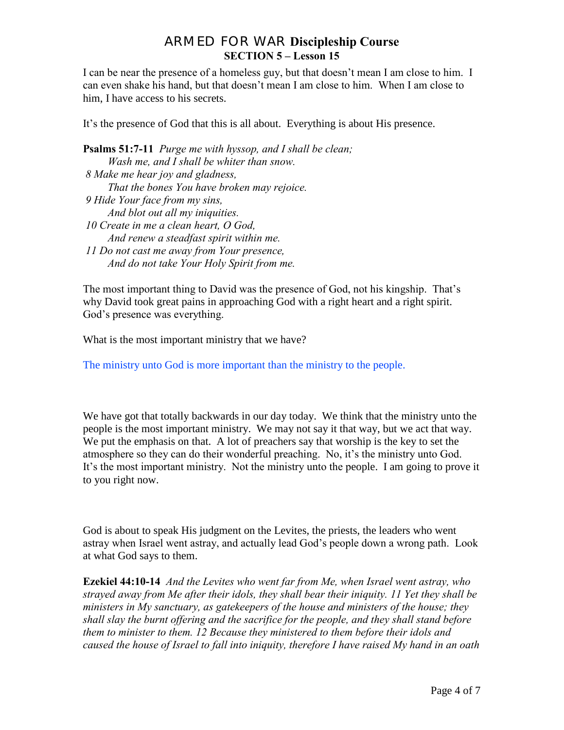I can be near the presence of a homeless guy, but that doesn't mean I am close to him. I can even shake his hand, but that doesn't mean I am close to him. When I am close to him, I have access to his secrets.

It's the presence of God that this is all about. Everything is about His presence.

**Psalms 51:7-11** *Purge me with hyssop, and I shall be clean; Wash me, and I shall be whiter than snow. 8 Make me hear joy and gladness, That the bones You have broken may rejoice. 9 Hide Your face from my sins, And blot out all my iniquities. 10 Create in me a clean heart, O God, And renew a steadfast spirit within me. 11 Do not cast me away from Your presence, And do not take Your Holy Spirit from me.*

The most important thing to David was the presence of God, not his kingship. That's why David took great pains in approaching God with a right heart and a right spirit. God's presence was everything.

What is the most important ministry that we have?

The ministry unto God is more important than the ministry to the people.

We have got that totally backwards in our day today. We think that the ministry unto the people is the most important ministry. We may not say it that way, but we act that way. We put the emphasis on that. A lot of preachers say that worship is the key to set the atmosphere so they can do their wonderful preaching. No, it's the ministry unto God. It's the most important ministry. Not the ministry unto the people. I am going to prove it to you right now.

God is about to speak His judgment on the Levites, the priests, the leaders who went astray when Israel went astray, and actually lead God's people down a wrong path. Look at what God says to them.

**Ezekiel 44:10-14** *And the Levites who went far from Me, when Israel went astray, who strayed away from Me after their idols, they shall bear their iniquity. 11 Yet they shall be ministers in My sanctuary, as gatekeepers of the house and ministers of the house; they shall slay the burnt offering and the sacrifice for the people, and they shall stand before them to minister to them. 12 Because they ministered to them before their idols and caused the house of Israel to fall into iniquity, therefore I have raised My hand in an oath*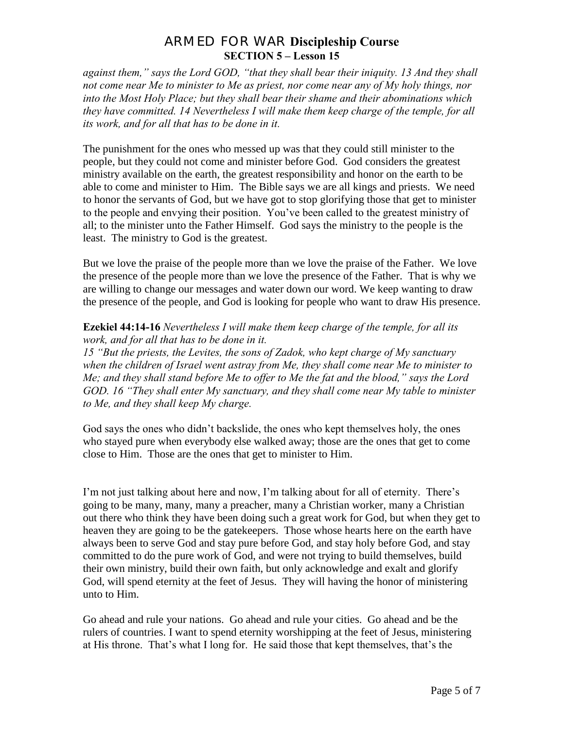*against them," says the Lord GOD, "that they shall bear their iniquity. 13 And they shall not come near Me to minister to Me as priest, nor come near any of My holy things, nor into the Most Holy Place; but they shall bear their shame and their abominations which they have committed. 14 Nevertheless I will make them keep charge of the temple, for all its work, and for all that has to be done in it.* 

The punishment for the ones who messed up was that they could still minister to the people, but they could not come and minister before God. God considers the greatest ministry available on the earth, the greatest responsibility and honor on the earth to be able to come and minister to Him. The Bible says we are all kings and priests. We need to honor the servants of God, but we have got to stop glorifying those that get to minister to the people and envying their position. You've been called to the greatest ministry of all; to the minister unto the Father Himself. God says the ministry to the people is the least. The ministry to God is the greatest.

But we love the praise of the people more than we love the praise of the Father. We love the presence of the people more than we love the presence of the Father. That is why we are willing to change our messages and water down our word. We keep wanting to draw the presence of the people, and God is looking for people who want to draw His presence.

#### **Ezekiel 44:14-16** *Nevertheless I will make them keep charge of the temple, for all its work, and for all that has to be done in it.*

*15 "But the priests, the Levites, the sons of Zadok, who kept charge of My sanctuary when the children of Israel went astray from Me, they shall come near Me to minister to Me; and they shall stand before Me to offer to Me the fat and the blood," says the Lord GOD. 16 "They shall enter My sanctuary, and they shall come near My table to minister to Me, and they shall keep My charge.* 

God says the ones who didn't backslide, the ones who kept themselves holy, the ones who stayed pure when everybody else walked away; those are the ones that get to come close to Him. Those are the ones that get to minister to Him.

I'm not just talking about here and now, I'm talking about for all of eternity. There's going to be many, many, many a preacher, many a Christian worker, many a Christian out there who think they have been doing such a great work for God, but when they get to heaven they are going to be the gatekeepers. Those whose hearts here on the earth have always been to serve God and stay pure before God, and stay holy before God, and stay committed to do the pure work of God, and were not trying to build themselves, build their own ministry, build their own faith, but only acknowledge and exalt and glorify God, will spend eternity at the feet of Jesus. They will having the honor of ministering unto to Him.

Go ahead and rule your nations. Go ahead and rule your cities. Go ahead and be the rulers of countries. I want to spend eternity worshipping at the feet of Jesus, ministering at His throne. That's what I long for. He said those that kept themselves, that's the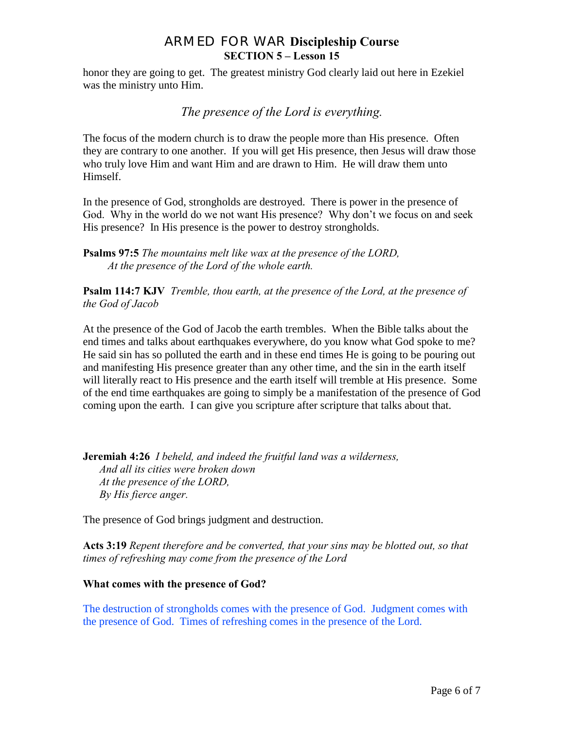honor they are going to get. The greatest ministry God clearly laid out here in Ezekiel was the ministry unto Him.

*The presence of the Lord is everything.*

The focus of the modern church is to draw the people more than His presence. Often they are contrary to one another. If you will get His presence, then Jesus will draw those who truly love Him and want Him and are drawn to Him. He will draw them unto Himself.

In the presence of God, strongholds are destroyed. There is power in the presence of God. Why in the world do we not want His presence? Why don't we focus on and seek His presence? In His presence is the power to destroy strongholds.

**Psalms 97:5** *The mountains melt like wax at the presence of the LORD, At the presence of the Lord of the whole earth.*

**Psalm 114:7 KJV** *Tremble, thou earth, at the presence of the Lord, at the presence of the God of Jacob*

At the presence of the God of Jacob the earth trembles. When the Bible talks about the end times and talks about earthquakes everywhere, do you know what God spoke to me? He said sin has so polluted the earth and in these end times He is going to be pouring out and manifesting His presence greater than any other time, and the sin in the earth itself will literally react to His presence and the earth itself will tremble at His presence. Some of the end time earthquakes are going to simply be a manifestation of the presence of God coming upon the earth. I can give you scripture after scripture that talks about that.

**Jeremiah 4:26** *I beheld, and indeed the fruitful land was a wilderness, And all its cities were broken down At the presence of the LORD, By His fierce anger.* 

The presence of God brings judgment and destruction.

**Acts 3:19** *Repent therefore and be converted, that your sins may be blotted out, so that times of refreshing may come from the presence of the Lord* 

#### **What comes with the presence of God?**

The destruction of strongholds comes with the presence of God. Judgment comes with the presence of God. Times of refreshing comes in the presence of the Lord.